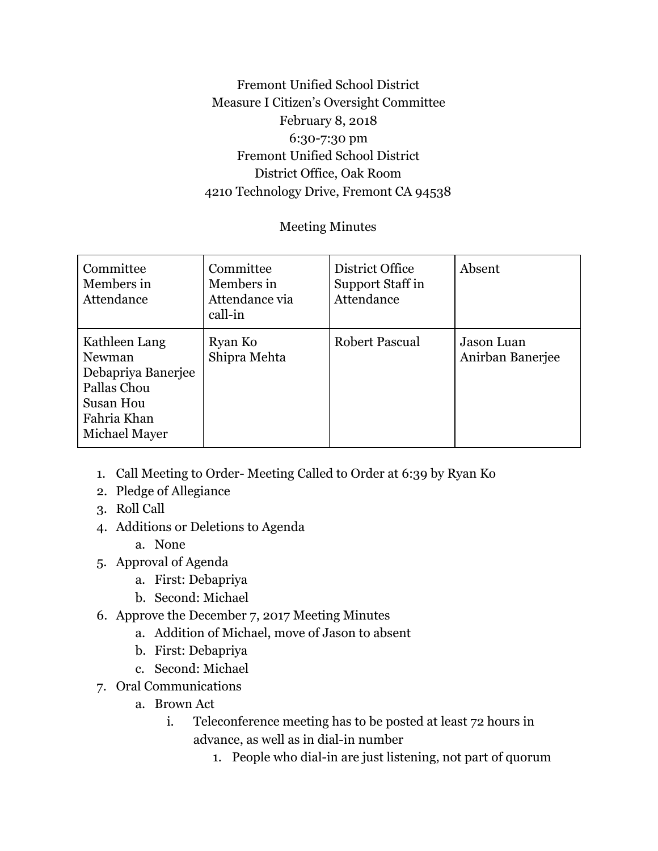## Fremont Unified School District Measure I Citizen's Oversight Committee February 8, 2018 6:30-7:30 pm Fremont Unified School District District Office, Oak Room 4210 Technology Drive, Fremont CA 94538

## Meeting Minutes

| Committee<br>Members in<br>Attendance                                                                     | Committee<br>Members in<br>Attendance via<br>call-in | District Office<br>Support Staff in<br>Attendance | Absent                         |
|-----------------------------------------------------------------------------------------------------------|------------------------------------------------------|---------------------------------------------------|--------------------------------|
| Kathleen Lang<br>Newman<br>Debapriya Banerjee<br>Pallas Chou<br>Susan Hou<br>Fahria Khan<br>Michael Mayer | Ryan Ko<br>Shipra Mehta                              | <b>Robert Pascual</b>                             | Jason Luan<br>Anirban Banerjee |

- 1. Call Meeting to Order- Meeting Called to Order at 6:39 by Ryan Ko
- 2. Pledge of Allegiance
- 3. Roll Call
- 4. Additions or Deletions to Agenda
	- a. None
- 5. Approval of Agenda
	- a. First: Debapriya
	- b. Second: Michael
- 6. Approve the December 7, 2017 Meeting Minutes
	- a. Addition of Michael, move of Jason to absent
	- b. First: Debapriya
	- c. Second: Michael
- 7. Oral Communications
	- a. Brown Act
		- i. Teleconference meeting has to be posted at least 72 hours in advance, as well as in dial-in number
			- 1. People who dial-in are just listening, not part of quorum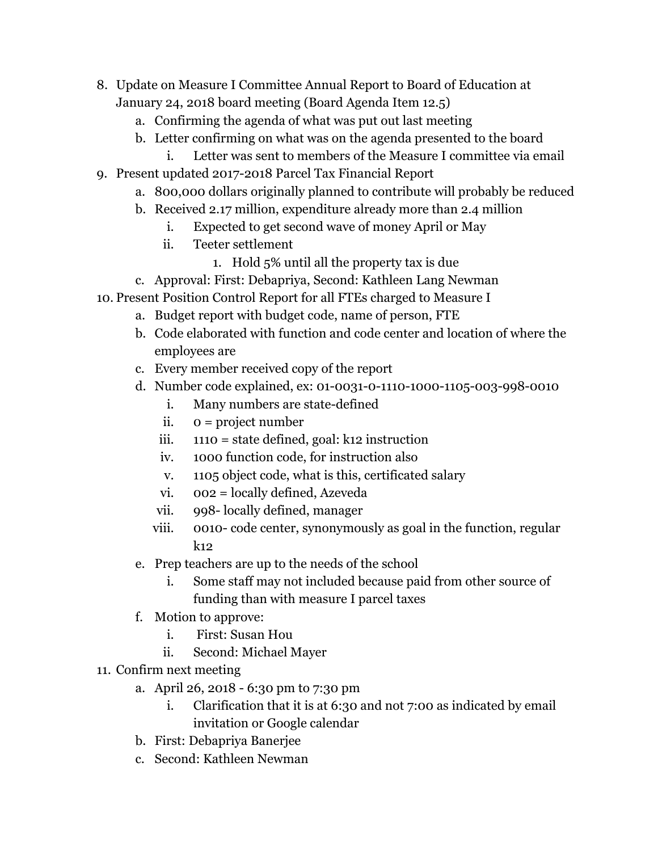- 8. Update on Measure I Committee Annual Report to Board of Education at January 24, 2018 board meeting (Board Agenda Item 12.5)
	- a. Confirming the agenda of what was put out last meeting
	- b. Letter confirming on what was on the agenda presented to the board
	- i. Letter was sent to members of the Measure I committee via email
- 9. Present updated 2017-2018 Parcel Tax Financial Report
	- a. 800,000 dollars originally planned to contribute will probably be reduced
	- b. Received 2.17 million, expenditure already more than 2.4 million
		- i. Expected to get second wave of money April or May
		- ii. Teeter settlement
			- 1. Hold 5% until all the property tax is due
	- c. Approval: First: Debapriya, Second: Kathleen Lang Newman
- 10. Present Position Control Report for all FTEs charged to Measure I
	- a. Budget report with budget code, name of person, FTE
	- b. Code elaborated with function and code center and location of where the employees are
	- c. Every member received copy of the report
	- d. Number code explained, ex: 01-0031-0-1110-1000-1105-003-998-0010
		- i. Many numbers are state-defined
		- ii. 0 = project number
		- iii.  $1110 =$  state defined, goal: k12 instruction
		- iv. 1000 function code, for instruction also
		- v. 1105 object code, what is this, certificated salary
		- vi. 002 = locally defined, Azeveda
		- vii. 998- locally defined, manager
		- viii. 0010- code center, synonymously as goal in the function, regular k12
	- e. Prep teachers are up to the needs of the school
		- i. Some staff may not included because paid from other source of funding than with measure I parcel taxes
	- f. Motion to approve:
		- i. First: Susan Hou
		- ii. Second: Michael Mayer
- 11. Confirm next meeting
	- a. April 26, 2018 6:30 pm to 7:30 pm
		- i. Clarification that it is at 6:30 and not 7:00 as indicated by email invitation or Google calendar
	- b. First: Debapriya Banerjee
	- c. Second: Kathleen Newman